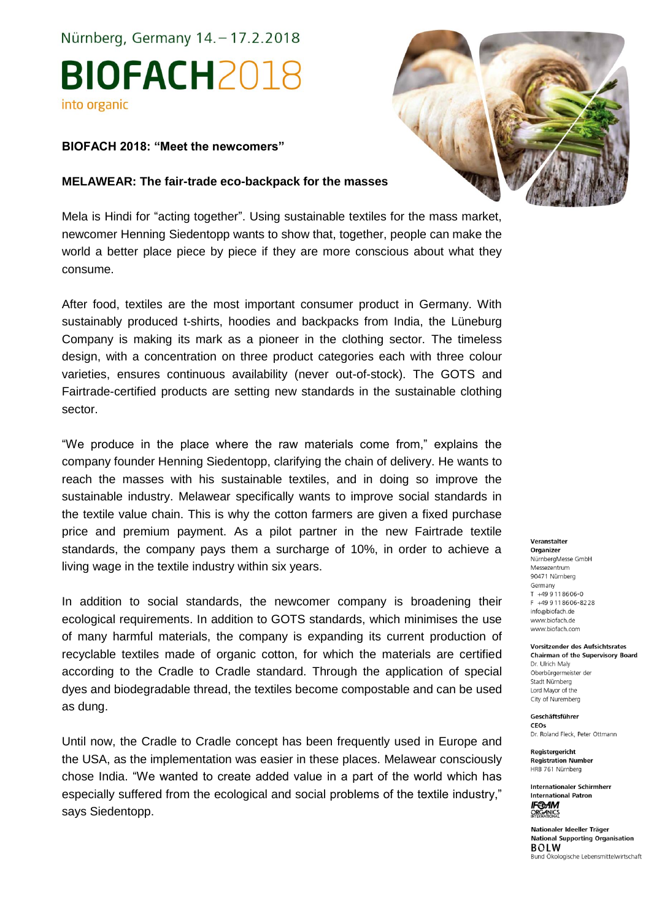# Nürnberg, Germany 14. - 17.2.2018 **BIOFACH2018** into organic

# **BIOFACH 2018: "Meet the newcomers"**

# **MELAWEAR: The fair-trade eco-backpack for the masses**

Mela is Hindi for "acting together". Using sustainable textiles for the mass market, newcomer Henning Siedentopp wants to show that, together, people can make the world a better place piece by piece if they are more conscious about what they consume.

After food, textiles are the most important consumer product in Germany. With sustainably produced t-shirts, hoodies and backpacks from India, the Lüneburg Company is making its mark as a pioneer in the clothing sector. The timeless design, with a concentration on three product categories each with three colour varieties, ensures continuous availability (never out-of-stock). The GOTS and Fairtrade-certified products are setting new standards in the sustainable clothing sector.

"We produce in the place where the raw materials come from," explains the company founder Henning Siedentopp, clarifying the chain of delivery. He wants to reach the masses with his sustainable textiles, and in doing so improve the sustainable industry. Melawear specifically wants to improve social standards in the textile value chain. This is why the cotton farmers are given a fixed purchase price and premium payment. As a pilot partner in the new Fairtrade textile standards, the company pays them a surcharge of 10%, in order to achieve a living wage in the textile industry within six years.

In addition to social standards, the newcomer company is broadening their ecological requirements. In addition to GOTS standards, which minimises the use of many harmful materials, the company is expanding its current production of recyclable textiles made of organic cotton, for which the materials are certified according to the Cradle to Cradle standard. Through the application of special dyes and biodegradable thread, the textiles become compostable and can be used as dung.

Until now, the Cradle to Cradle concept has been frequently used in Europe and the USA, as the implementation was easier in these places. Melawear consciously chose India. "We wanted to create added value in a part of the world which has especially suffered from the ecological and social problems of the textile industry," says Siedentopp.



### Veranstalter

Organizer NürnbergMesse GmbH Messezentrum 90471 Nürnberg Germany  $T + 499118606 - 0$ F +49 9 11 8 6 0 6 - 8 2 2 8 info@biofach.de www.biofach.de www.biofach.com

### **Vorsitzender des Aufsichtsrates**

**Chairman of the Supervisory Board** Dr. Ulrich Maly Oberbürgermeister der Stadt Nürnberg Lord Mayor of the City of Nuremberg

Geschäftsführer **CEOs** 

Dr. Roland Fleck, Peter Ottmann

Reaisteraericht **Registration Number** HRB 761 Nürnberg

**Internationaler Schirmherr International Patron IF®AM**<br>ORGANICS<br>INTERNATIONAL

Nationaler Ideeller Träger **National Supporting Organisation**  $ROIM$ Bund Ökologische Lebensmittelwirtschaft